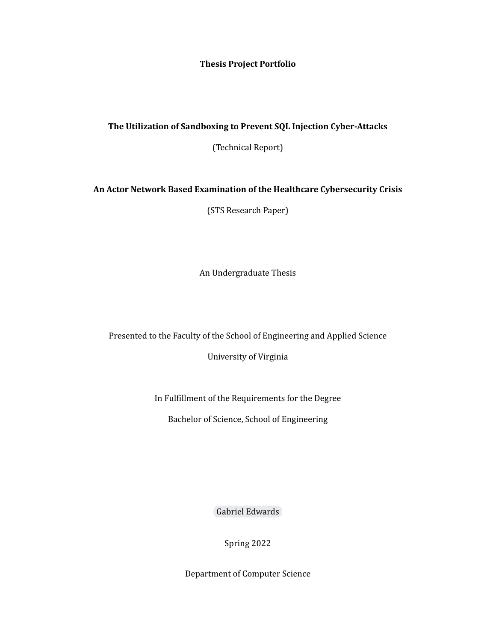**Thesis Project Portfolio**

## **The Utilization of Sandboxing to Prevent SQL Injection Cyber-Attacks**

(Technical Report)

## **An Actor Network Based Examination of the Healthcare Cybersecurity Crisis**

(STS Research Paper)

An Undergraduate Thesis

Presented to the Faculty of the School of Engineering and Applied Science

University of Virginia

In Fulfillment of the Requirements for the Degree

Bachelor of Science, School of Engineering

Gabriel [Edwards](mailto:gse3ez@virginia.edu)

Spring 2022

Department of Computer Science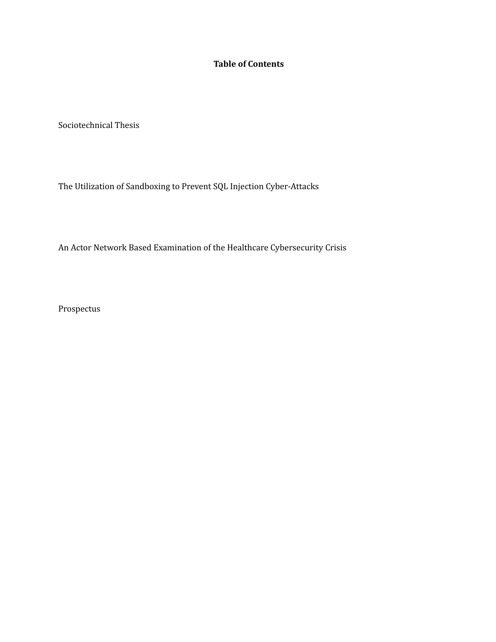## **Table of Contents**

Sociotechnical Thesis

The Utilization of Sandboxing to Prevent SQL Injection Cyber-Attacks

An Actor Network Based Examination of the Healthcare Cybersecurity Crisis

Prospectus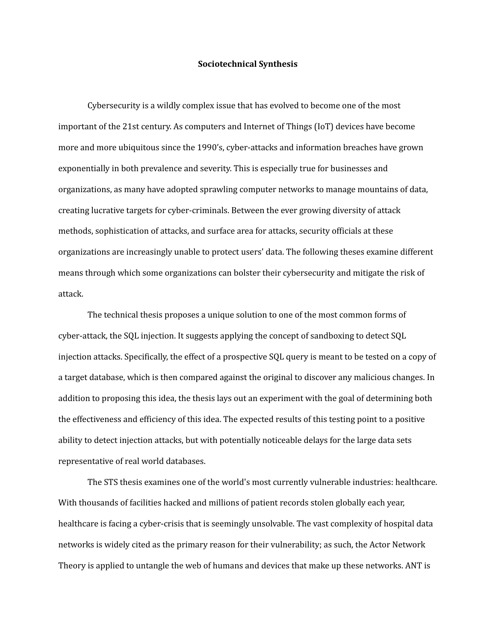## **Sociotechnical Synthesis**

Cybersecurity is a wildly complex issue that has evolved to become one of the most important of the 21st century. As computers and Internet of Things (IoT) devices have become more and more ubiquitous since the 1990's, cyber-attacks and information breaches have grown exponentially in both prevalence and severity. This is especially true for businesses and organizations, as many have adopted sprawling computer networks to manage mountains of data, creating lucrative targets for cyber-criminals. Between the ever growing diversity of attack methods, sophistication of attacks, and surface area for attacks, security officials at these organizations are increasingly unable to protect users' data. The following theses examine different means through which some organizations can bolster their cybersecurity and mitigate the risk of attack.

The technical thesis proposes a unique solution to one of the most common forms of cyber-attack, the SQL injection. It suggests applying the concept of sandboxing to detect SQL injection attacks. Specifically, the effect of a prospective SQL query is meant to be tested on a copy of a target database, which is then compared against the original to discover any malicious changes. In addition to proposing this idea, the thesis lays out an experiment with the goal of determining both the effectiveness and efficiency of this idea. The expected results of this testing point to a positive ability to detect injection attacks, but with potentially noticeable delays for the large data sets representative of real world databases.

The STS thesis examines one of the world's most currently vulnerable industries: healthcare. With thousands of facilities hacked and millions of patient records stolen globally each year, healthcare is facing a cyber-crisis that is seemingly unsolvable. The vast complexity of hospital data networks is widely cited as the primary reason for their vulnerability; as such, the Actor Network Theory is applied to untangle the web of humans and devices that make up these networks. ANT is